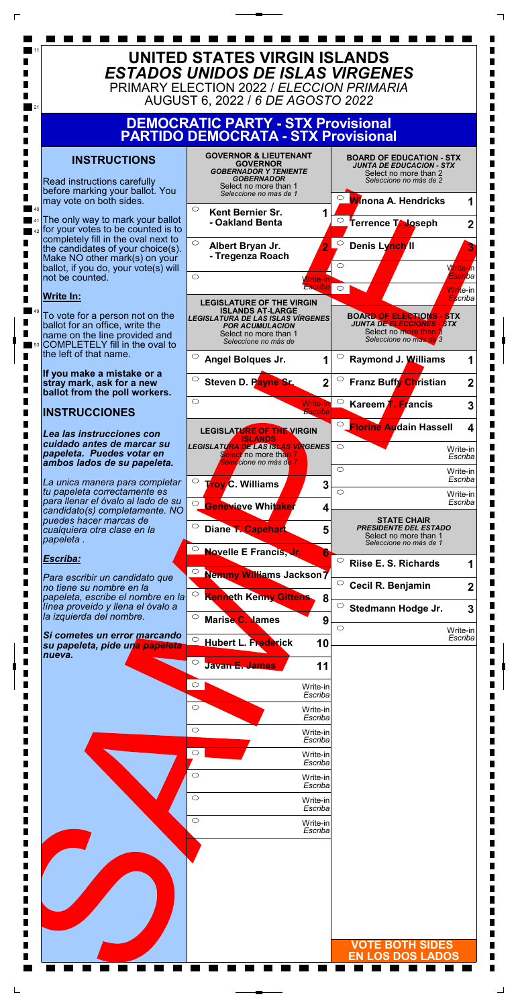|        | Escriba                           |                         |
|--------|-----------------------------------|-------------------------|
|        | $\bigcirc$<br>Write-in<br>Escriba |                         |
|        | $\circ$<br>Write-in<br>Escriba    |                         |
|        | $\circ$<br>Write-in<br>Escriba    |                         |
|        | $\bigcirc$<br>Write-in<br>Escriba |                         |
|        | $\circ$<br>Write-in<br>Escriba    |                         |
| ٦      |                                   |                         |
| П<br>۰ |                                   |                         |
|        |                                   |                         |
|        |                                   |                         |
| ٠      |                                   | <b>VOTE BOTH SIDES</b>  |
|        |                                   | <b>EN LOS DOS LADOS</b> |
|        |                                   |                         |

L Г

 $\Box$ 



 $\Gamma$ 

 $\sqcup$